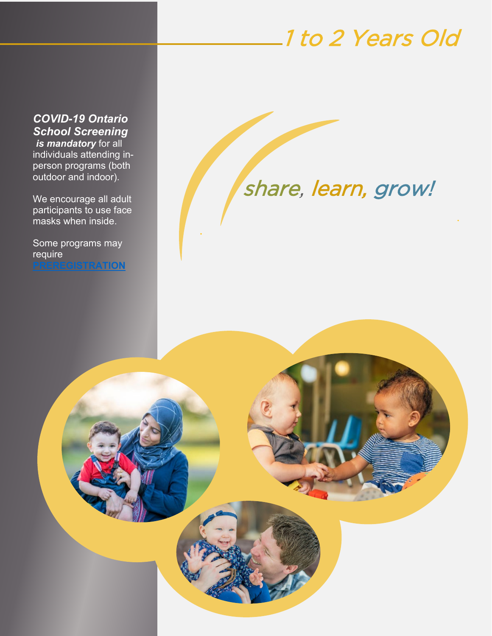# 1 to 2 Years Old

*COVID-19 Ontario School Screening is mandatory* for all individuals attending inperson programs (both outdoor and indoor).

We encourage all adult participants to use face masks when inside.

Some programs may require **[PREREGISTRATION](https://ptbocfc.ca/program-registration-form/)**

# share, learn, grow!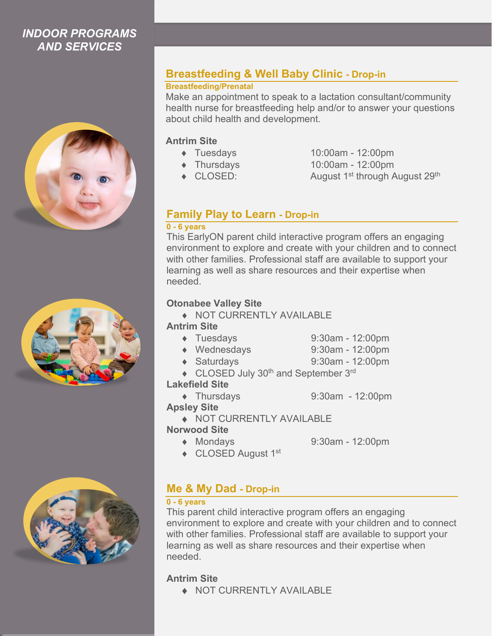## *INDOOR PROGRAMS AND SERVICES*







# **Breastfeeding & Well Baby Clinic - Drop-in**

#### **Breastfeeding/Prenatal**

Make an appointment to speak to a lactation consultant/community health nurse for breastfeeding help and/or to answer your questions about child health and development.

#### **Antrim Site**

- 
- 
- 
- ♦ Tuesdays 10:00am 12:00pm
- ♦ Thursdays 10:00am 12:00pm
- $\triangleleft$  CLOSED: August 1<sup>st</sup> through August 29<sup>th</sup>

# **Family Play to Learn - Drop-in**

#### **0 - 6 years**

This EarlyON parent child interactive program offers an engaging environment to explore and create with your children and to connect with other families. Professional staff are available to support your learning as well as share resources and their expertise when needed.

#### **Otonabee Valley Site**

♦ NOT CURRENTLY AVAILABLE

#### **Antrim Site**

- ♦ Tuesdays 9:30am 12:00pm
- ♦ Wednesdays 9:30am 12:00pm
- ♦ Saturdays 9:30am 12:00pm
- ◆ CLOSED July 30<sup>th</sup> and September 3<sup>rd</sup>

#### **Lakefield Site**

♦ Thursdays 9:30am - 12:00pm

#### **Apsley Site**

♦ NOT CURRENTLY AVAILABLE

#### **Norwood Site**

- ♦ Mondays 9:30am 12:00pm
- ◆ CLOSED August 1<sup>st</sup>

**Me & My Dad - Drop-in**

### **0 - 6 years**

This parent child interactive program offers an engaging environment to explore and create with your children and to connect with other families. Professional staff are available to support your learning as well as share resources and their expertise when needed.

### **Antrim Site**

♦ NOT CURRENTLY AVAILABLE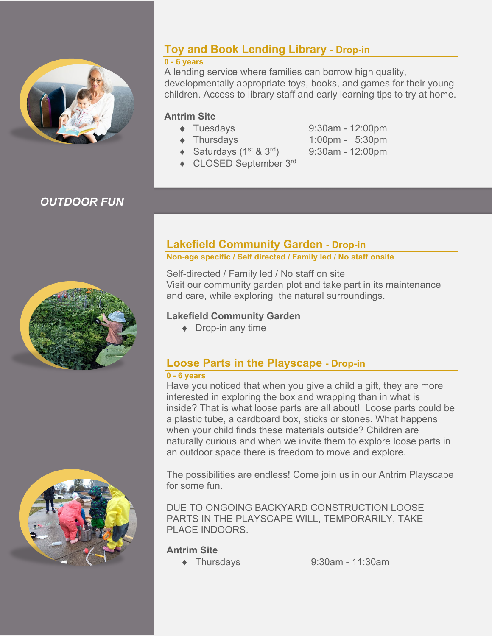

# **Toy and Book Lending Library - Drop-in**

#### **0 - 6 years**

A lending service where families can borrow high quality, developmentally appropriate toys, books, and games for their young children. Access to library staff and early learning tips to try at home.

#### **Antrim Site**

- ♦ Tuesdays 9:30am 12:00pm
- 
- $\triangleleft$  Saturdays (1<sup>st</sup> & 3<sup>rd</sup>) 9:30am 12:00pm
- ♦ Thursdays 1:00pm 5:30pm
- ◆ CLOSED September 3rd

# *OUTDOOR FUN*





# **Lakefield Community Garden - Drop-in**

#### **Non-age specific / Self directed / Family led / No staff onsite**

Self-directed / Family led / No staff on site Visit our community garden plot and take part in its maintenance and care, while exploring the natural surroundings.

#### **Lakefield Community Garden**

◆ Drop-in any time

# **Loose Parts in the Playscape - Drop-in**

#### **0 - 6 years**

Have you noticed that when you give a child a gift, they are more interested in exploring the box and wrapping than in what is inside? That is what loose parts are all about! Loose parts could be a plastic tube, a cardboard box, sticks or stones. What happens when your child finds these materials outside? Children are naturally curious and when we invite them to explore loose parts in an outdoor space there is freedom to move and explore.

The possibilities are endless! Come join us in our Antrim Playscape for some fun.

DUE TO ONGOING BACKYARD CONSTRUCTION LOOSE PARTS IN THE PLAYSCAPE WILL, TEMPORARILY, TAKE PLACE INDOORS.

#### **Antrim Site**

♦ Thursdays 9:30am - 11:30am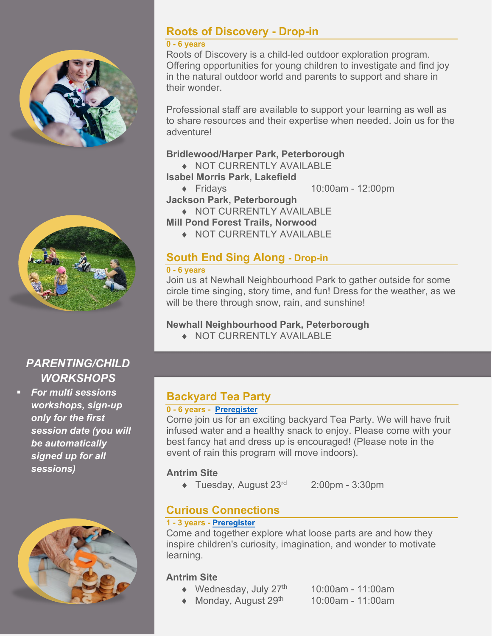



# *PARENTING/CHILD WORKSHOPS*

 *For multi sessions workshops, sign-up only for the first session date (you will be automatically signed up for all sessions)*



## **Roots of Discovery - Drop-in**

#### **0 - 6 years**

Roots of Discovery is a child-led outdoor exploration program. Offering opportunities for young children to investigate and find joy in the natural outdoor world and parents to support and share in their wonder.

Professional staff are available to support your learning as well as to share resources and their expertise when needed. Join us for the adventure!

#### **Bridlewood/Harper Park, Peterborough**

- ♦ NOT CURRENTLY AVAILABLE **Isabel Morris Park, Lakefield**
	-

♦ Fridays 10:00am - 12:00pm **Jackson Park, Peterborough**

♦ NOT CURRENTLY AVAILABLE

- **Mill Pond Forest Trails, Norwood**
	- ♦ NOT CURRENTLY AVAILABLE

# **South End Sing Along - Drop-in**

#### **0 - 6 years**

Join us at Newhall Neighbourhood Park to gather outside for some circle time singing, story time, and fun! Dress for the weather, as we will be there through snow, rain, and sunshine!

### **Newhall Neighbourhood Park, Peterborough**

♦ NOT CURRENTLY AVAILABLE

# **Backyard Tea Party**

#### **0 - 6 years - [Preregister](https://ptbocfc.ca/program-registration-form/)**

Come join us for an exciting backyard Tea Party. We will have fruit infused water and a healthy snack to enjoy. Please come with your best fancy hat and dress up is encouraged! (Please note in the event of rain this program will move indoors).

### **Antrim Site**

♦ Tuesday, August 23rd 2:00pm - 3:30pm

# **Curious Connections**

#### **1 - 3 years - [Preregister](https://ptbocfc.ca/program-registration-form/)**

Come and together explore what loose parts are and how they inspire children's curiosity, imagination, and wonder to motivate learning.

#### **Antrim Site**

- $\blacklozenge$  Wednesday, July 27<sup>th</sup> 10:00am 11:00am
- $\triangleleft$  Monday, August 29<sup>th</sup> 10:00am 11:00am
	-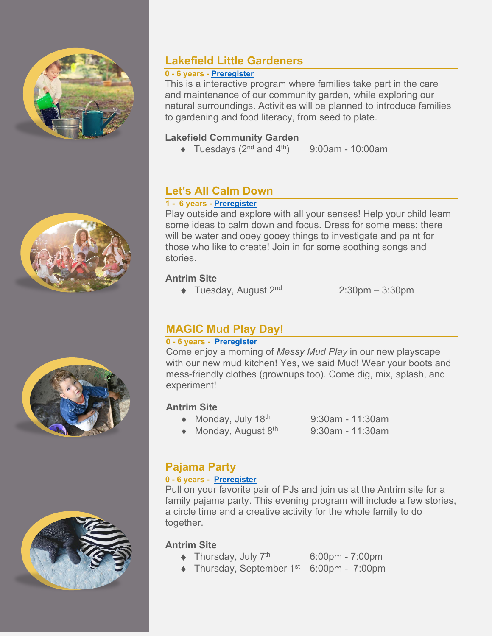







# **Lakefield Little Gardeners**

#### **0 - 6 years - [Preregister](https://ptbocfc.ca/program-registration-form/)**

This is a interactive program where families take part in the care and maintenance of our community garden, while exploring our natural surroundings. Activities will be planned to introduce families to gardening and food literacy, from seed to plate.

#### **Lakefield Community Garden**

 $\blacklozenge$  Tuesdays (2<sup>nd</sup> and 4<sup>th</sup>) 9:00am - 10:00am

# **Let's All Calm Down**

#### **1 - 6 years - [Preregister](https://ptbocfc.ca/program-registration-form/)**

Play outside and explore with all your senses! Help your child learn some ideas to calm down and focus. Dress for some mess; there will be water and ooey gooey things to investigate and paint for those who like to create! Join in for some soothing songs and stories.

#### **Antrim Site**

 $\triangleleft$  Tuesday, August 2<sup>nd</sup> 2:30pm – 3:30pm

## **MAGIC Mud Play Day!**

### **0 - 6 years - [Preregister](https://ptbocfc.ca/program-registration-form/)**

Come enjoy a morning of *Messy Mud Play* in our new playscape with our new mud kitchen! Yes, we said Mud! Wear your boots and mess-friendly clothes (grownups too). Come dig, mix, splash, and experiment!

### **Antrim Site**

- $\triangleleft$  Monday, July 18<sup>th</sup> 9:30am 11:30am
- $\triangleleft$  Monday, August 8<sup>th</sup> 9:30am 11:30am

# **Pajama Party**

#### **0 - 6 years - [Preregister](https://ptbocfc.ca/program-registration-form/)**

Pull on your favorite pair of PJs and join us at the Antrim site for a family pajama party. This evening program will include a few stories, a circle time and a creative activity for the whole family to do together.

#### **Antrim Site**

- $\blacklozenge$  Thursday, July 7<sup>th</sup> 6:00pm 7:00pm
- $\blacklozenge$  Thursday, September 1<sup>st</sup> 6:00pm 7:00pm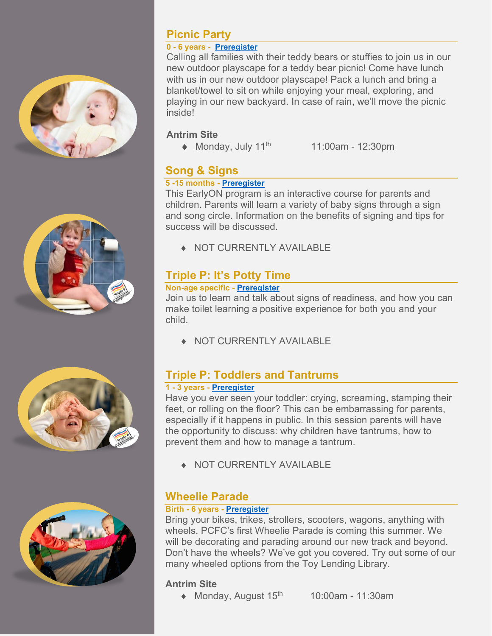



#### **0 - 6 years - [Preregister](https://ptbocfc.ca/program-registration-form/)**

Calling all families with their teddy bears or stuffies to join us in our new outdoor playscape for a teddy bear picnic! Come have lunch with us in our new outdoor playscape! Pack a lunch and bring a blanket/towel to sit on while enjoying your meal, exploring, and playing in our new backyard. In case of rain, we'll move the picnic inside!

#### **Antrim Site**

 $\triangleleft$  Monday, July 11<sup>th</sup> 11:00am - 12:30pm

## **Song & Signs**

#### **5 -15 months - [Preregister](https://ptbocfc.ca/program-registration-form/)**

This EarlyON program is an interactive course for parents and children. Parents will learn a variety of baby signs through a sign and song circle. Information on the benefits of signing and tips for success will be discussed.

♦ NOT CURRENTLY AVAILABLE

# **Triple P: It's Potty Time**

#### **Non-age specific - [Preregister](https://ptbocfc.ca/program-registration-form/)**

Join us to learn and talk about signs of readiness, and how you can make toilet learning a positive experience for both you and your child.

♦ NOT CURRENTLY AVAILABLE

# **Triple P: Toddlers and Tantrums**

#### **1 - 3 years - [Preregister](https://ptbocfc.ca/program-registration-form/)**

Have you ever seen your toddler: crying, screaming, stamping their feet, or rolling on the floor? This can be embarrassing for parents, especially if it happens in public. In this session parents will have the opportunity to discuss: why children have tantrums, how to prevent them and how to manage a tantrum.

♦ NOT CURRENTLY AVAILABLE

# **Wheelie Parade**

#### **Birth - 6 years - [Preregister](https://ptbocfc.ca/program-registration-form/)**

Bring your bikes, trikes, strollers, scooters, wagons, anything with wheels. PCFC's first Wheelie Parade is coming this summer. We will be decorating and parading around our new track and beyond. Don't have the wheels? We've got you covered. Try out some of our many wheeled options from the Toy Lending Library.

### **Antrim Site**

- $\triangleleft$  Monday, August 15<sup>th</sup> 10:00am 11:30am
	-